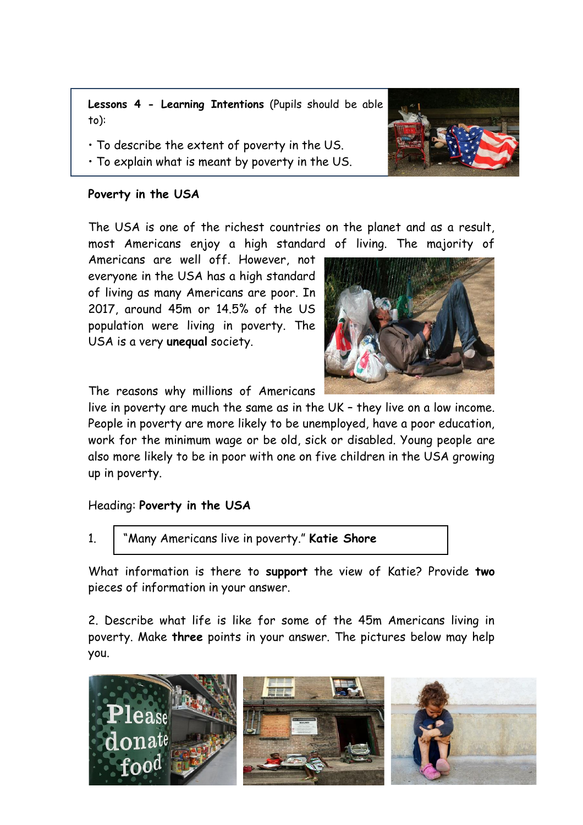**Lessons 4 - Learning Intentions** (Pupils should be able to):

- To describe the extent of poverty in the US.
- To explain what is meant by poverty in the US.

### **Poverty in the USA**

The USA is one of the richest countries on the planet and as a result, most Americans enjoy a high standard of living. The majority of

Americans are well off. However, not everyone in the USA has a high standard of living as many Americans are poor. In 2017, around 45m or 14.5% of the US population were living in poverty. The USA is a very **unequal** society.



The reasons why millions of Americans

live in poverty are much the same as in the UK – they live on a low income. People in poverty are more likely to be unemployed, have a poor education, work for the minimum wage or be old, sick or disabled. Young people are also more likely to be in poor with one on five children in the USA growing up in poverty.

# Heading: **Poverty in the USA**

1. "Many Americans live in poverty." **Katie Shore**

What information is there to **support** the view of Katie? Provide **two** pieces of information in your answer.

2. Describe what life is like for some of the 45m Americans living in poverty. Make **three** points in your answer. The pictures below may help you.



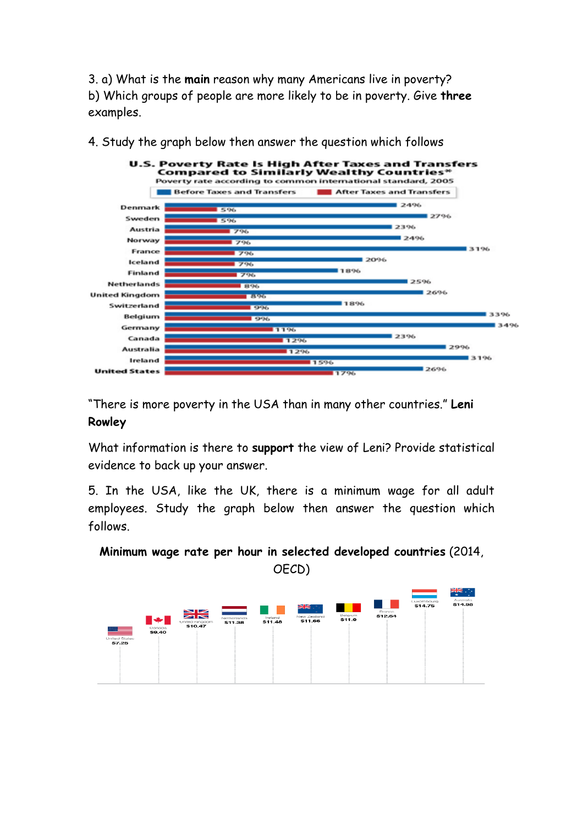3. a) What is the **main** reason why many Americans live in poverty? b) Which groups of people are more likely to be in poverty. Give **three** examples.



4. Study the graph below then answer the question which follows

"There is more poverty in the USA than in many other countries." **Leni Rowley**

What information is there to **support** the view of Leni? Provide statistical evidence to back up your answer.

5. In the USA, like the UK, there is a minimum wage for all adult employees. Study the graph below then answer the question which follows.

**Minimum wage rate per hour in selected developed countries** (2014,

OECD)

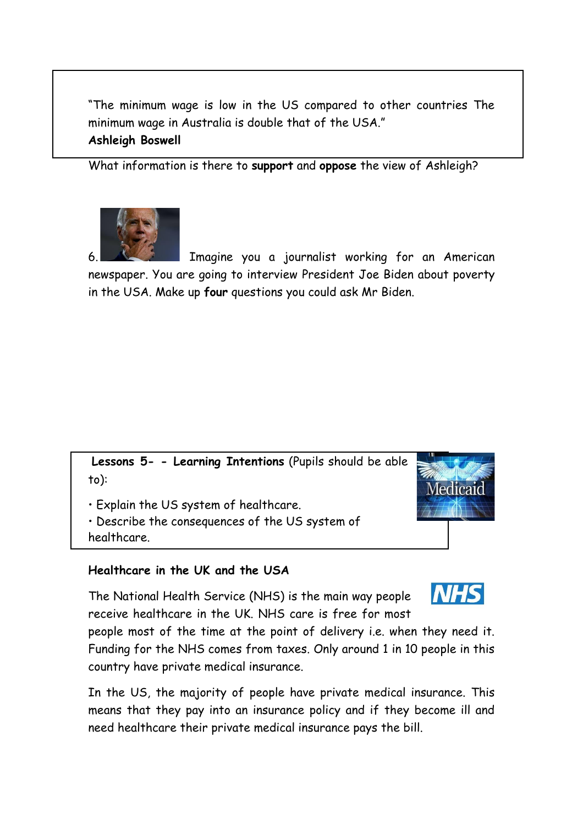"The minimum wage is low in the US compared to other countries The minimum wage in Australia is double that of the USA."

### **Ashleigh Boswell**

What information is there to **support** and **oppose** the view of Ashleigh?



6. Imagine you a journalist working for an American newspaper. You are going to interview President Joe Biden about poverty in the USA. Make up **four** questions you could ask Mr Biden.

**Lessons 5- - Learning Intentions** (Pupils should be able to):

• Explain the US system of healthcare.

• Describe the consequences of the US system of healthcare.



# **Healthcare in the UK and the USA**

The National Health Service (NHS) is the main way people receive healthcare in the UK. NHS care is free for most



people most of the time at the point of delivery i.e. when they need it. Funding for the NHS comes from taxes. Only around 1 in 10 people in this country have private medical insurance.

In the US, the majority of people have private medical insurance. This means that they pay into an insurance policy and if they become ill and need healthcare their private medical insurance pays the bill.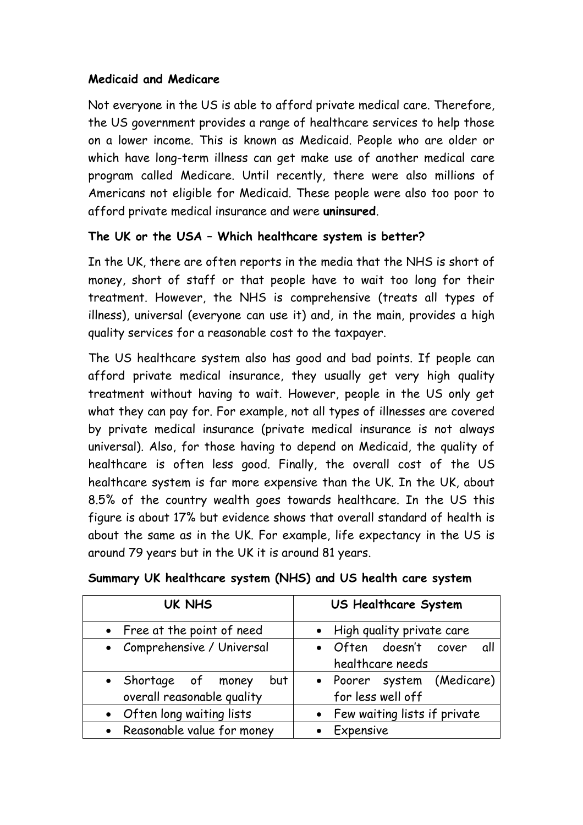### **Medicaid and Medicare**

Not everyone in the US is able to afford private medical care. Therefore, the US government provides a range of healthcare services to help those on a lower income. This is known as Medicaid. People who are older or which have long-term illness can get make use of another medical care program called Medicare. Until recently, there were also millions of Americans not eligible for Medicaid. These people were also too poor to afford private medical insurance and were **uninsured**.

# **The UK or the USA – Which healthcare system is better?**

In the UK, there are often reports in the media that the NHS is short of money, short of staff or that people have to wait too long for their treatment. However, the NHS is comprehensive (treats all types of illness), universal (everyone can use it) and, in the main, provides a high quality services for a reasonable cost to the taxpayer.

The US healthcare system also has good and bad points. If people can afford private medical insurance, they usually get very high quality treatment without having to wait. However, people in the US only get what they can pay for. For example, not all types of illnesses are covered by private medical insurance (private medical insurance is not always universal). Also, for those having to depend on Medicaid, the quality of healthcare is often less good. Finally, the overall cost of the US healthcare system is far more expensive than the UK. In the UK, about 8.5% of the country wealth goes towards healthcare. In the US this figure is about 17% but evidence shows that overall standard of health is about the same as in the UK. For example, life expectancy in the US is around 79 years but in the UK it is around 81 years.

| <b>UK NHS</b>                                            | US Healthcare System                             |  |  |
|----------------------------------------------------------|--------------------------------------------------|--|--|
| • Free at the point of need                              | • High quality private care                      |  |  |
| • Comprehensive / Universal                              | • Often doesn't cover<br>all<br>healthcare needs |  |  |
| • Shortage of money<br>but<br>overall reasonable quality | · Poorer system (Medicare)<br>for less well off  |  |  |
| • Often long waiting lists                               | • Few waiting lists if private                   |  |  |
| • Reasonable value for money                             | • Expensive                                      |  |  |

| Summary UK healthcare system (NHS) and US health care system |  |  |  |  |  |
|--------------------------------------------------------------|--|--|--|--|--|
|--------------------------------------------------------------|--|--|--|--|--|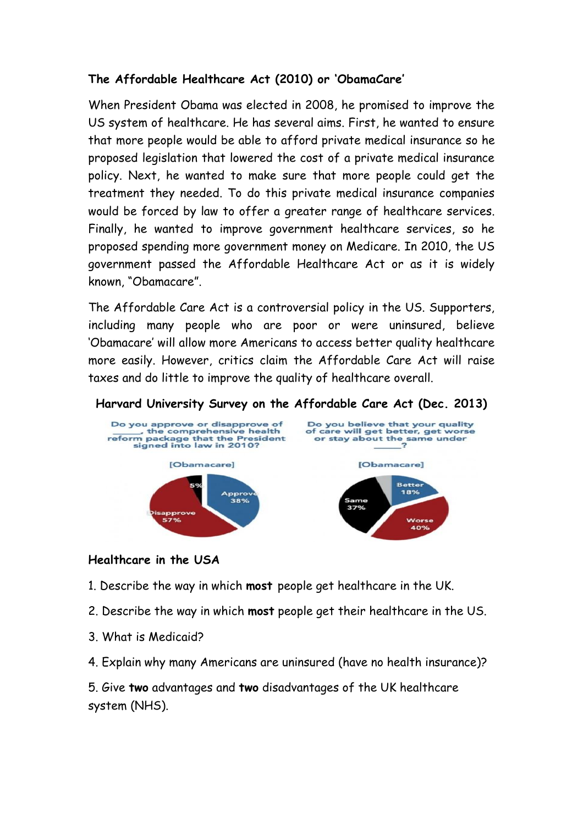# **The Affordable Healthcare Act (2010) or 'ObamaCare'**

When President Obama was elected in 2008, he promised to improve the US system of healthcare. He has several aims. First, he wanted to ensure that more people would be able to afford private medical insurance so he proposed legislation that lowered the cost of a private medical insurance policy. Next, he wanted to make sure that more people could get the treatment they needed. To do this private medical insurance companies would be forced by law to offer a greater range of healthcare services. Finally, he wanted to improve government healthcare services, so he proposed spending more government money on Medicare. In 2010, the US government passed the Affordable Healthcare Act or as it is widely known, "Obamacare".

The Affordable Care Act is a controversial policy in the US. Supporters, including many people who are poor or were uninsured, believe 'Obamacare' will allow more Americans to access better quality healthcare more easily. However, critics claim the Affordable Care Act will raise taxes and do little to improve the quality of healthcare overall.



#### **Harvard University Survey on the Affordable Care Act (Dec. 2013)**

#### **Healthcare in the USA**

- 1. Describe the way in which **most** people get healthcare in the UK.
- 2. Describe the way in which **most** people get their healthcare in the US.
- 3. What is Medicaid?
- 4. Explain why many Americans are uninsured (have no health insurance)?

5. Give **two** advantages and **two** disadvantages of the UK healthcare system (NHS).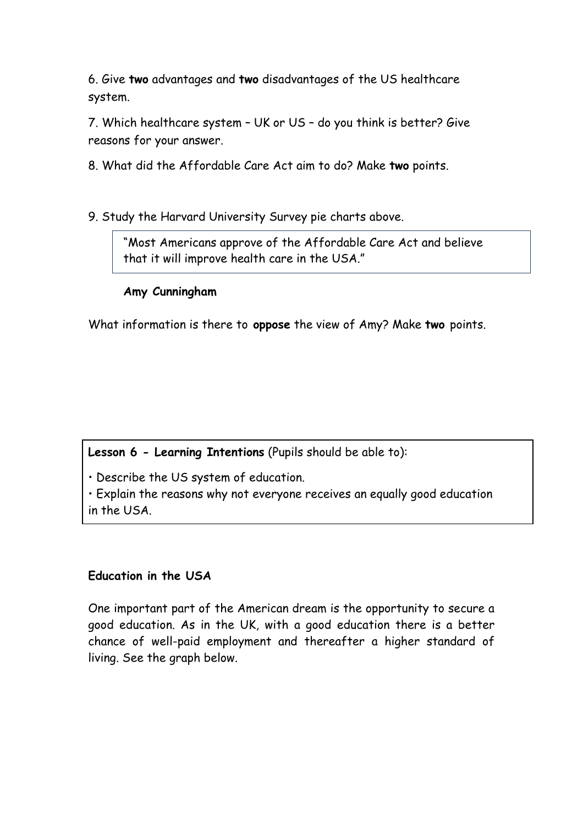6. Give **two** advantages and **two** disadvantages of the US healthcare system.

7. Which healthcare system – UK or US – do you think is better? Give reasons for your answer.

8. What did the Affordable Care Act aim to do? Make **two** points.

9. Study the Harvard University Survey pie charts above.

"Most Americans approve of the Affordable Care Act and believe that it will improve health care in the USA."

# **Amy Cunningham**

What information is there to **oppose** the view of Amy? Make **two** points.

**Lesson 6 - Learning Intentions** (Pupils should be able to):

• Describe the US system of education.

• Explain the reasons why not everyone receives an equally good education in the USA.

# **Education in the USA**

One important part of the American dream is the opportunity to secure a good education. As in the UK, with a good education there is a better chance of well-paid employment and thereafter a higher standard of living. See the graph below.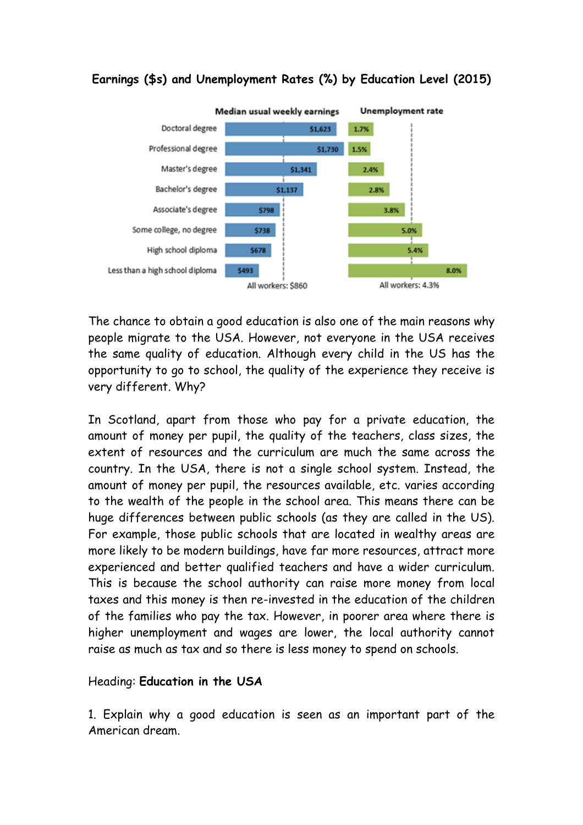

# **Earnings (\$s) and Unemployment Rates (%) by Education Level (2015)**

The chance to obtain a good education is also one of the main reasons why people migrate to the USA. However, not everyone in the USA receives the same quality of education. Although every child in the US has the opportunity to go to school, the quality of the experience they receive is very different. Why?

In Scotland, apart from those who pay for a private education, the amount of money per pupil, the quality of the teachers, class sizes, the extent of resources and the curriculum are much the same across the country. In the USA, there is not a single school system. Instead, the amount of money per pupil, the resources available, etc. varies according to the wealth of the people in the school area. This means there can be huge differences between public schools (as they are called in the US). For example, those public schools that are located in wealthy areas are more likely to be modern buildings, have far more resources, attract more experienced and better qualified teachers and have a wider curriculum. This is because the school authority can raise more money from local taxes and this money is then re-invested in the education of the children of the families who pay the tax. However, in poorer area where there is higher unemployment and wages are lower, the local authority cannot raise as much as tax and so there is less money to spend on schools.

#### Heading: **Education in the USA**

1. Explain why a good education is seen as an important part of the American dream.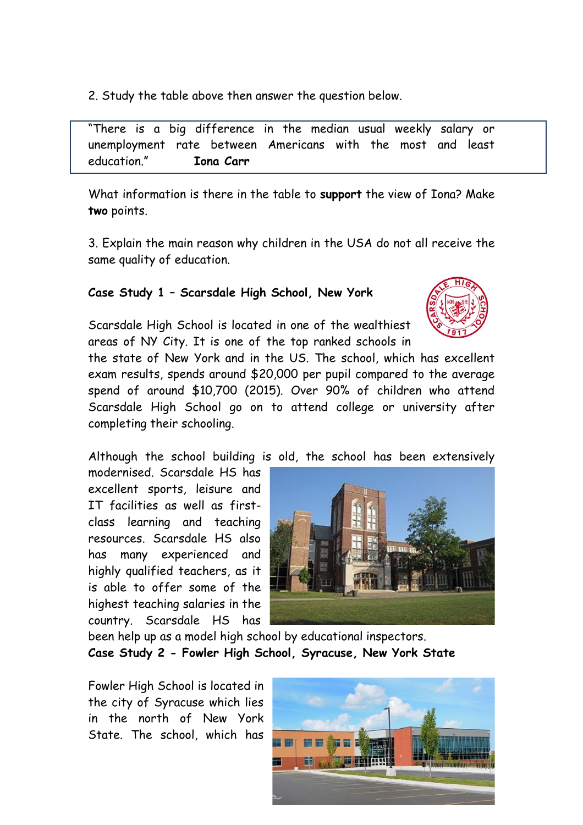2. Study the table above then answer the question below.

"There is a big difference in the median usual weekly salary or unemployment rate between Americans with the most and least education." **Iona Carr**

What information is there in the table to **support** the view of Iona? Make **two** points.

3. Explain the main reason why children in the USA do not all receive the same quality of education.

#### **Case Study 1 – Scarsdale High School, New York**

Scarsdale High School is located in one of the wealthiest areas of NY City. It is one of the top ranked schools in

the state of New York and in the US. The school, which has excellent exam results, spends around \$20,000 per pupil compared to the average spend of around \$10,700 (2015). Over 90% of children who attend Scarsdale High School go on to attend college or university after completing their schooling.

Although the school building is old, the school has been extensively

modernised. Scarsdale HS has excellent sports, leisure and IT facilities as well as firstclass learning and teaching resources. Scarsdale HS also has many experienced and highly qualified teachers, as it is able to offer some of the highest teaching salaries in the country. Scarsdale HS has



been help up as a model high school by educational inspectors. **Case Study 2 - Fowler High School, Syracuse, New York State**

Fowler High School is located in the city of Syracuse which lies in the north of New York State. The school, which has